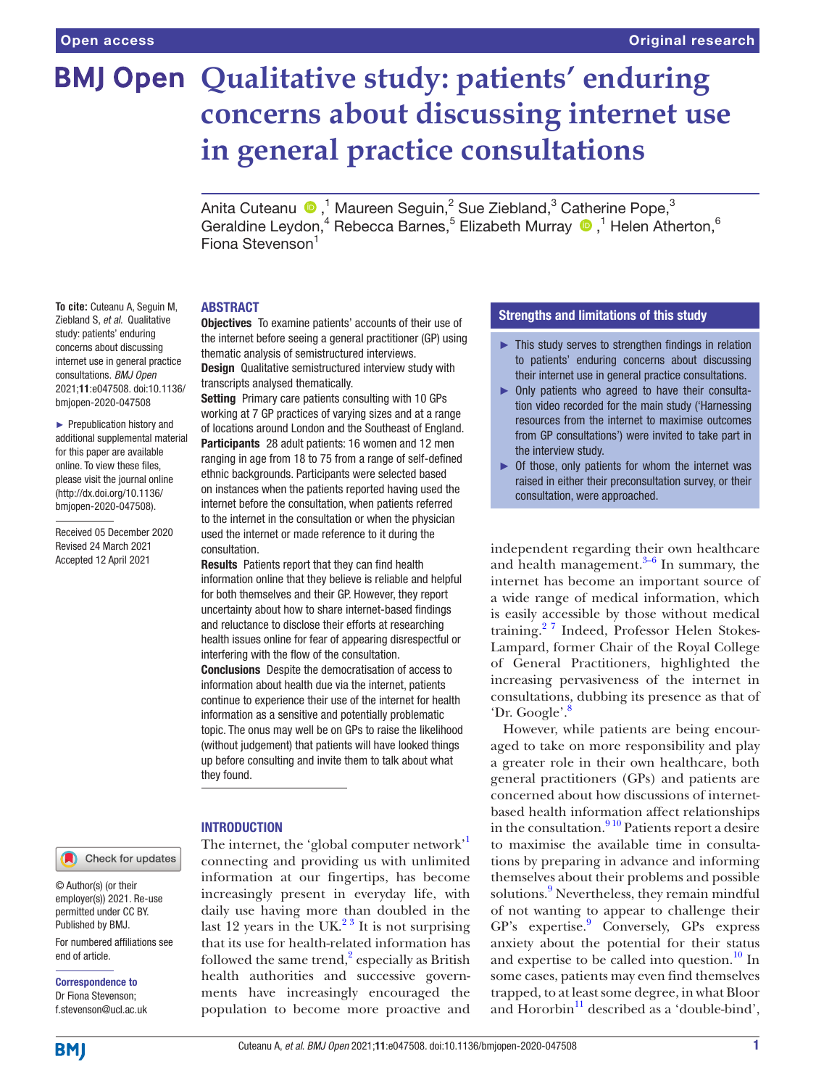# **BMJ Open Qualitative study: patients' enduring concerns about discussing internet use in general practice consultations**

Anita Cuteanu  $\bigcirc$  ,<sup>1</sup> Maureen Seguin,<sup>2</sup> Sue Ziebland,<sup>3</sup> Catherine Pope,<sup>3</sup> Geraldine Leydon,<sup>4</sup> Rebecca Barnes,<sup>5</sup> Elizabeth Murray <sup>1</sup>,<sup>1</sup> Helen Atherton,<sup>6</sup> Fiona Stevenson<sup>1</sup>

#### ABSTRACT

Objectives To examine patients' accounts of their use of the internet before seeing a general practitioner (GP) using thematic analysis of semistructured interviews.

**Design** Qualitative semistructured interview study with transcripts analysed thematically.

Setting Primary care patients consulting with 10 GPs working at 7 GP practices of varying sizes and at a range of locations around London and the Southeast of England. Participants 28 adult patients: 16 women and 12 men ranging in age from 18 to 75 from a range of self-defined ethnic backgrounds. Participants were selected based on instances when the patients reported having used the internet before the consultation, when patients referred to the internet in the consultation or when the physician used the internet or made reference to it during the consultation.

Results Patients report that they can find health information online that they believe is reliable and helpful for both themselves and their GP. However, they report uncertainty about how to share internet-based findings and reluctance to disclose their efforts at researching health issues online for fear of appearing disrespectful or interfering with the flow of the consultation. Conclusions Despite the democratisation of access to information about health due via the internet, patients continue to experience their use of the internet for health information as a sensitive and potentially problematic topic. The onus may well be on GPs to raise the likelihood

(without judgement) that patients will have looked things up before consulting and invite them to talk about what they found.

#### INTRODUCTION

The internet, the 'global computer network' connecting and providing us with unlimited information at our fingertips, has become increasingly present in everyday life, with daily use having more than doubled in the last 12 years in the UK $^{23}$  It is not surprising that its use for health-related information has followed the same trend, $\frac{2}{3}$  especially as British health authorities and successive governments have increasingly encouraged the population to become more proactive and

# Strengths and limitations of this study

- ► This study serves to strengthen findings in relation to patients' enduring concerns about discussing their internet use in general practice consultations.
- ► Only patients who agreed to have their consultation video recorded for the main study ('Harnessing resources from the internet to maximise outcomes from GP consultations') were invited to take part in the interview study.
- $\triangleright$  Of those, only patients for whom the internet was raised in either their preconsultation survey, or their consultation, were approached.

independent regarding their own healthcare and health management. $3-6$  In summary, the internet has become an important source of a wide range of medical information, which is easily accessible by those without medical training.[2 7](#page-4-1) Indeed, Professor Helen Stokes-Lampard, former Chair of the Royal College of General Practitioners, highlighted the increasing pervasiveness of the internet in consultations, dubbing its presence as that of 'Dr. Google'[.8](#page-4-3)

However, while patients are being encouraged to take on more responsibility and play a greater role in their own healthcare, both general practitioners (GPs) and patients are concerned about how discussions of internetbased health information affect relationships in the consultation. $9^{10}$  Patients report a desire to maximise the available time in consultations by preparing in advance and informing themselves about their problems and possible solutions.<sup>[9](#page-4-4)</sup> Nevertheless, they remain mindful of not wanting to appear to challenge their GP's expertise.<sup>[9](#page-4-4)</sup> Conversely, GPs express anxiety about the potential for their status and expertise to be called into question.<sup>[10](#page-5-0)</sup> In some cases, patients may even find themselves trapped, to at least some degree, in what Bloor and Hororbin $^{11}$  $^{11}$  $^{11}$  described as a 'double-bind',

**To cite:** Cuteanu A, Seguin M, Ziebland S, *et al*. Qualitative study: patients' enduring concerns about discussing internet use in general practice consultations. *BMJ Open* 2021;11:e047508. doi:10.1136/ bmjopen-2020-047508

► Prepublication history and additional supplemental material for this paper are available online. To view these files, please visit the journal online (http://dx.doi.org/10.1136/ bmjopen-2020-047508).

Received 05 December 2020 Revised 24 March 2021 Accepted 12 April 2021

Check for updates

© Author(s) (or their employer(s)) 2021. Re-use permitted under CC BY. Published by BMJ.

For numbered affiliations see end of article.

Correspondence to Dr Fiona Stevenson; f.stevenson@ucl.ac.uk

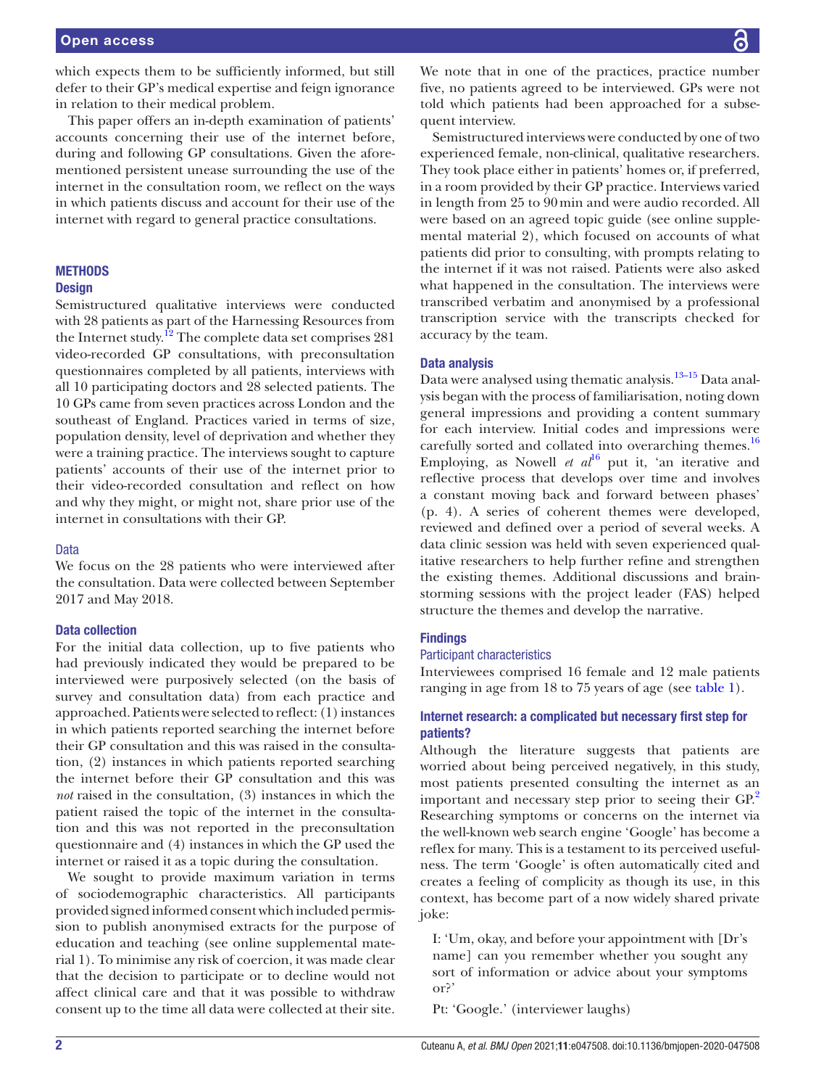which expects them to be sufficiently informed, but still defer to their GP's medical expertise and feign ignorance in relation to their medical problem.

This paper offers an in-depth examination of patients' accounts concerning their use of the internet before, during and following GP consultations. Given the aforementioned persistent unease surrounding the use of the internet in the consultation room, we reflect on the ways in which patients discuss and account for their use of the internet with regard to general practice consultations.

### **METHODS**

#### **Design**

Semistructured qualitative interviews were conducted with 28 patients as part of the Harnessing Resources from the Internet study.<sup>12</sup> The complete data set comprises 281 video-recorded GP consultations, with preconsultation questionnaires completed by all patients, interviews with all 10 participating doctors and 28 selected patients. The 10 GPs came from seven practices across London and the southeast of England. Practices varied in terms of size, population density, level of deprivation and whether they were a training practice. The interviews sought to capture patients' accounts of their use of the internet prior to their video-recorded consultation and reflect on how and why they might, or might not, share prior use of the internet in consultations with their GP.

#### Data

We focus on the 28 patients who were interviewed after the consultation. Data were collected between September 2017 and May 2018.

#### Data collection

For the initial data collection, up to five patients who had previously indicated they would be prepared to be interviewed were purposively selected (on the basis of survey and consultation data) from each practice and approached. Patients were selected to reflect: (1) instances in which patients reported searching the internet before their GP consultation and this was raised in the consultation, (2) instances in which patients reported searching the internet before their GP consultation and this was *not* raised in the consultation, (3) instances in which the patient raised the topic of the internet in the consultation and this was not reported in the preconsultation questionnaire and (4) instances in which the GP used the internet or raised it as a topic during the consultation.

We sought to provide maximum variation in terms of sociodemographic characteristics. All participants provided signed informed consent which included permission to publish anonymised extracts for the purpose of education and teaching (see [online supplemental mate](https://dx.doi.org/10.1136/bmjopen-2020-047508)[rial 1](https://dx.doi.org/10.1136/bmjopen-2020-047508)). To minimise any risk of coercion, it was made clear that the decision to participate or to decline would not affect clinical care and that it was possible to withdraw consent up to the time all data were collected at their site.

We note that in one of the practices, practice number five, no patients agreed to be interviewed. GPs were not told which patients had been approached for a subsequent interview.

Semistructured interviews were conducted by one of two experienced female, non-clinical, qualitative researchers. They took place either in patients' homes or, if preferred, in a room provided by their GP practice. Interviews varied in length from 25 to 90min and were audio recorded. All were based on an agreed topic guide (see [online supple](https://dx.doi.org/10.1136/bmjopen-2020-047508)[mental material 2](https://dx.doi.org/10.1136/bmjopen-2020-047508)), which focused on accounts of what patients did prior to consulting, with prompts relating to the internet if it was not raised. Patients were also asked what happened in the consultation. The interviews were transcribed verbatim and anonymised by a professional transcription service with the transcripts checked for accuracy by the team.

#### Data analysis

Data were analysed using thematic analysis.<sup>13–15</sup> Data analysis began with the process of familiarisation, noting down general impressions and providing a content summary for each interview. Initial codes and impressions were carefully sorted and collated into overarching themes.<sup>[16](#page-5-4)</sup> Employing, as Nowell *et*  $al^{16}$  $al^{16}$  $al^{16}$  put it, 'an iterative and reflective process that develops over time and involves a constant moving back and forward between phases' (p. 4). A series of coherent themes were developed, reviewed and defined over a period of several weeks. A data clinic session was held with seven experienced qualitative researchers to help further refine and strengthen the existing themes. Additional discussions and brainstorming sessions with the project leader (FAS) helped structure the themes and develop the narrative.

### **Findings**

# Participant characteristics

Interviewees comprised 16 female and 12 male patients ranging in age from 18 to 75 years of age (see [table](#page-2-0) 1).

# Internet research: a complicated but necessary first step for patients?

Although the literature suggests that patients are worried about being perceived negatively, in this study, most patients presented consulting the internet as an important and necessary step prior to seeing their GP.<sup>2</sup> Researching symptoms or concerns on the internet via the well-known web search engine 'Google' has become a reflex for many. This is a testament to its perceived usefulness. The term 'Google' is often automatically cited and creates a feeling of complicity as though its use, in this context, has become part of a now widely shared private joke:

I: 'Um, okay, and before your appointment with [Dr's name] can you remember whether you sought any sort of information or advice about your symptoms or?'

Pt: 'Google.' (interviewer laughs)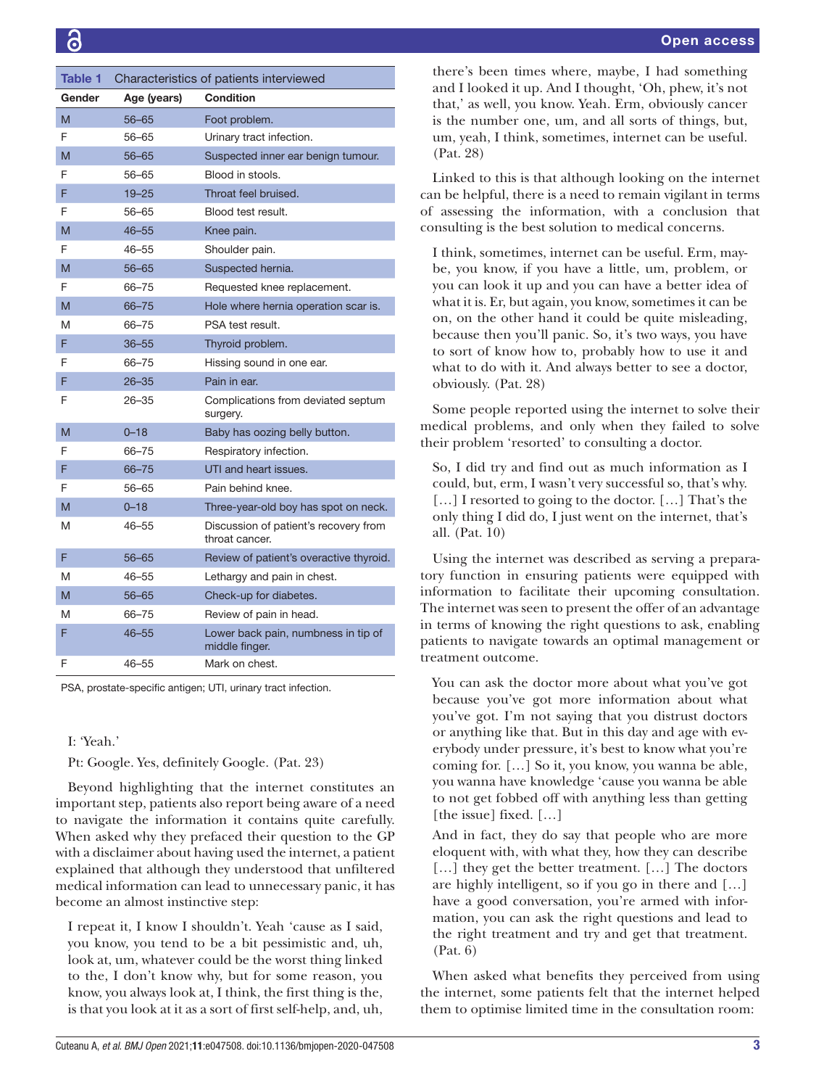<span id="page-2-0"></span>

| Table 1 | Characteristics of patients interviewed |                                                         |
|---------|-----------------------------------------|---------------------------------------------------------|
| Gender  | Age (years)                             | <b>Condition</b>                                        |
| M       | $56 - 65$                               | Foot problem.                                           |
| F       | 56-65                                   | Urinary tract infection.                                |
| M       | $56 - 65$                               | Suspected inner ear benign tumour.                      |
| F       | 56-65                                   | Blood in stools.                                        |
| F       | $19 - 25$                               | Throat feel bruised.                                    |
| F       | 56-65                                   | Blood test result.                                      |
| M       | $46 - 55$                               | Knee pain.                                              |
| F       | $46 - 55$                               | Shoulder pain.                                          |
| M       | $56 - 65$                               | Suspected hernia.                                       |
| F       | 66-75                                   | Requested knee replacement.                             |
| M       | 66-75                                   | Hole where hernia operation scar is.                    |
| M       | 66-75                                   | PSA test result.                                        |
| F       | $36 - 55$                               | Thyroid problem.                                        |
| F       | 66-75                                   | Hissing sound in one ear.                               |
| F       | $26 - 35$                               | Pain in ear.                                            |
| F       | $26 - 35$                               | Complications from deviated septum<br>surgery.          |
| M       | $0 - 18$                                | Baby has oozing belly button.                           |
| F       | 66-75                                   | Respiratory infection.                                  |
| F       | 66-75                                   | UTI and heart issues.                                   |
| F       | 56-65                                   | Pain behind knee.                                       |
| M       | $0 - 18$                                | Three-year-old boy has spot on neck.                    |
| M       | $46 - 55$                               | Discussion of patient's recovery from<br>throat cancer. |
| F       | $56 - 65$                               | Review of patient's overactive thyroid.                 |
| M       | $46 - 55$                               | Lethargy and pain in chest.                             |
| M       | $56 - 65$                               | Check-up for diabetes.                                  |
| M       | 66-75                                   | Review of pain in head.                                 |
| F       | $46 - 55$                               | Lower back pain, numbness in tip of<br>middle finger.   |
| F       | 46–55                                   | Mark on chest.                                          |

PSA, prostate-specific antigen; UTI, urinary tract infection.

# I: 'Yeah.'

Pt: Google. Yes, definitely Google. (Pat. 23)

Beyond highlighting that the internet constitutes an important step, patients also report being aware of a need to navigate the information it contains quite carefully. When asked why they prefaced their question to the GP with a disclaimer about having used the internet, a patient explained that although they understood that unfiltered medical information can lead to unnecessary panic, it has become an almost instinctive step:

I repeat it, I know I shouldn't. Yeah 'cause as I said, you know, you tend to be a bit pessimistic and, uh, look at, um, whatever could be the worst thing linked to the, I don't know why, but for some reason, you know, you always look at, I think, the first thing is the, is that you look at it as a sort of first self-help, and, uh, there's been times where, maybe, I had something and I looked it up. And I thought, 'Oh, phew, it's not that,' as well, you know. Yeah. Erm, obviously cancer is the number one, um, and all sorts of things, but, um, yeah, I think, sometimes, internet can be useful. (Pat. 28)

Linked to this is that although looking on the internet can be helpful, there is a need to remain vigilant in terms of assessing the information, with a conclusion that consulting is the best solution to medical concerns.

I think, sometimes, internet can be useful. Erm, maybe, you know, if you have a little, um, problem, or you can look it up and you can have a better idea of what it is. Er, but again, you know, sometimes it can be on, on the other hand it could be quite misleading, because then you'll panic. So, it's two ways, you have to sort of know how to, probably how to use it and what to do with it. And always better to see a doctor, obviously. (Pat. 28)

Some people reported using the internet to solve their medical problems, and only when they failed to solve their problem 'resorted' to consulting a doctor.

So, I did try and find out as much information as I could, but, erm, I wasn't very successful so, that's why. […] I resorted to going to the doctor. […] That's the only thing I did do, I just went on the internet, that's all. (Pat. 10)

Using the internet was described as serving a preparatory function in ensuring patients were equipped with information to facilitate their upcoming consultation. The internet was seen to present the offer of an advantage in terms of knowing the right questions to ask, enabling patients to navigate towards an optimal management or treatment outcome.

You can ask the doctor more about what you've got because you've got more information about what you've got. I'm not saying that you distrust doctors or anything like that. But in this day and age with everybody under pressure, it's best to know what you're coming for. […] So it, you know, you wanna be able, you wanna have knowledge 'cause you wanna be able to not get fobbed off with anything less than getting [the issue] fixed. [...]

And in fact, they do say that people who are more eloquent with, with what they, how they can describe [...] they get the better treatment. [...] The doctors are highly intelligent, so if you go in there and […] have a good conversation, you're armed with information, you can ask the right questions and lead to the right treatment and try and get that treatment. (Pat. 6)

When asked what benefits they perceived from using the internet, some patients felt that the internet helped them to optimise limited time in the consultation room: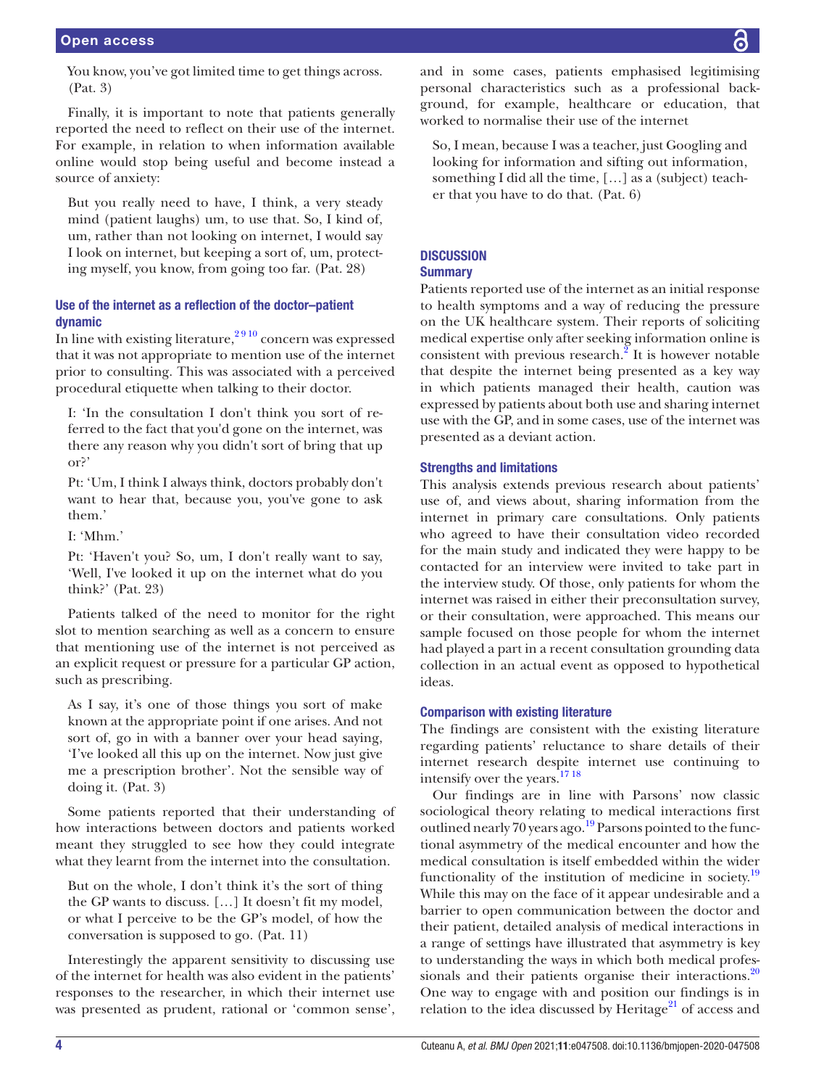You know, you've got limited time to get things across. (Pat. 3)

Finally, it is important to note that patients generally reported the need to reflect on their use of the internet. For example, in relation to when information available online would stop being useful and become instead a source of anxiety:

But you really need to have, I think, a very steady mind (patient laughs) um, to use that. So, I kind of, um, rather than not looking on internet, I would say I look on internet, but keeping a sort of, um, protecting myself, you know, from going too far. (Pat. 28)

# Use of the internet as a reflection of the doctor–patient dynamic

In line with existing literature,  $2910$  concern was expressed that it was not appropriate to mention use of the internet prior to consulting. This was associated with a perceived procedural etiquette when talking to their doctor.

I: 'In the consultation I don't think you sort of referred to the fact that you'd gone on the internet, was there any reason why you didn't sort of bring that up or?'

Pt: 'Um, I think I always think, doctors probably don't want to hear that, because you, you've gone to ask them.'

I: 'Mhm.'

Pt: 'Haven't you? So, um, I don't really want to say, 'Well, I've looked it up on the internet what do you think?' (Pat. 23)

Patients talked of the need to monitor for the right slot to mention searching as well as a concern to ensure that mentioning use of the internet is not perceived as an explicit request or pressure for a particular GP action, such as prescribing.

As I say, it's one of those things you sort of make known at the appropriate point if one arises. And not sort of, go in with a banner over your head saying, 'I've looked all this up on the internet. Now just give me a prescription brother'. Not the sensible way of doing it. (Pat. 3)

Some patients reported that their understanding of how interactions between doctors and patients worked meant they struggled to see how they could integrate what they learnt from the internet into the consultation.

But on the whole, I don't think it's the sort of thing the GP wants to discuss. […] It doesn't fit my model, or what I perceive to be the GP's model, of how the conversation is supposed to go. (Pat. 11)

Interestingly the apparent sensitivity to discussing use of the internet for health was also evident in the patients' responses to the researcher, in which their internet use was presented as prudent, rational or 'common sense',

and in some cases, patients emphasised legitimising personal characteristics such as a professional background, for example, healthcare or education, that worked to normalise their use of the internet

So, I mean, because I was a teacher, just Googling and looking for information and sifting out information, something I did all the time, […] as a (subject) teacher that you have to do that. (Pat. 6)

# **DISCUSSION**

# **Summary**

Patients reported use of the internet as an initial response to health symptoms and a way of reducing the pressure on the UK healthcare system. Their reports of soliciting medical expertise only after seeking information online is consistent with previous research. $^2$  It is however notable that despite the internet being presented as a key way in which patients managed their health, caution was expressed by patients about both use and sharing internet use with the GP, and in some cases, use of the internet was presented as a deviant action.

# Strengths and limitations

This analysis extends previous research about patients' use of, and views about, sharing information from the internet in primary care consultations. Only patients who agreed to have their consultation video recorded for the main study and indicated they were happy to be contacted for an interview were invited to take part in the interview study. Of those, only patients for whom the internet was raised in either their preconsultation survey, or their consultation, were approached. This means our sample focused on those people for whom the internet had played a part in a recent consultation grounding data collection in an actual event as opposed to hypothetical ideas.

# Comparison with existing literature

The findings are consistent with the existing literature regarding patients' reluctance to share details of their internet research despite internet use continuing to intensify over the years.<sup>1718</sup>

Our findings are in line with Parsons' now classic sociological theory relating to medical interactions first outlined nearly 70 years ago.<sup>19</sup> Parsons pointed to the functional asymmetry of the medical encounter and how the medical consultation is itself embedded within the wider functionality of the institution of medicine in society.<sup>[19](#page-5-6)</sup> While this may on the face of it appear undesirable and a barrier to open communication between the doctor and their patient, detailed analysis of medical interactions in a range of settings have illustrated that asymmetry is key to understanding the ways in which both medical professionals and their patients organise their interactions. $20$ One way to engage with and position our findings is in relation to the idea discussed by Heritage $^{21}$  of access and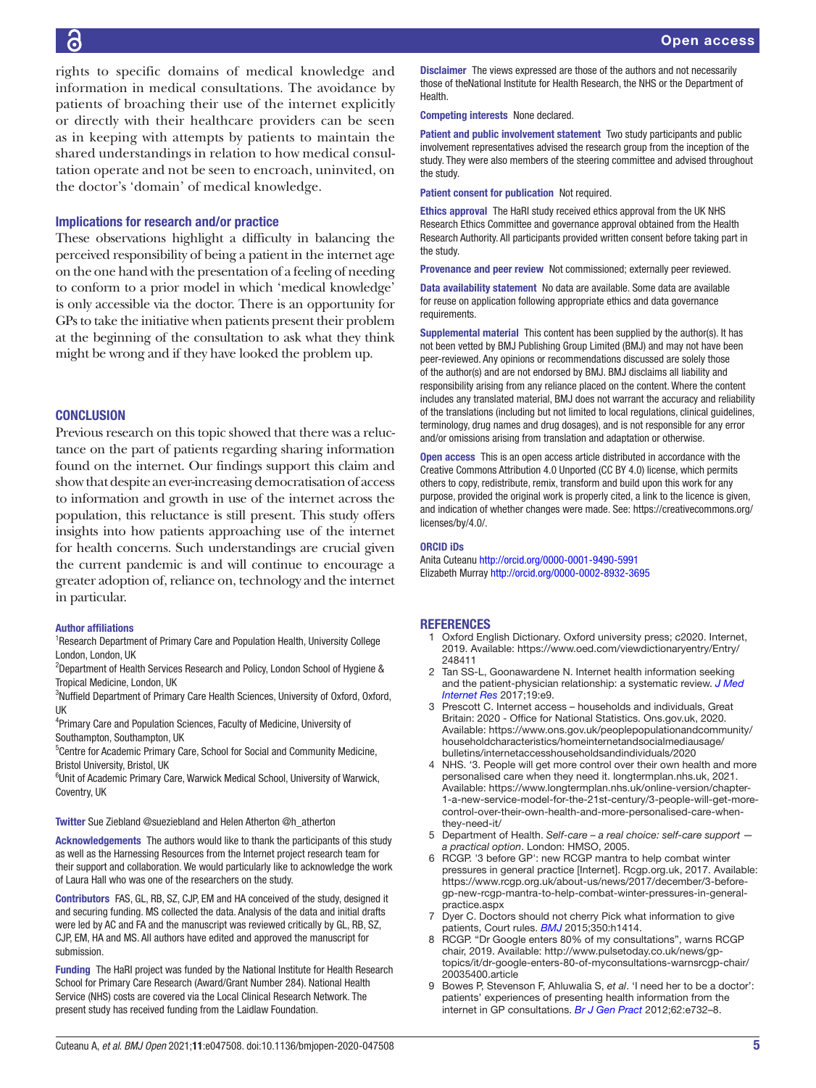# 6

rights to specific domains of medical knowledge and information in medical consultations. The avoidance by patients of broaching their use of the internet explicitly or directly with their healthcare providers can be seen as in keeping with attempts by patients to maintain the shared understandings in relation to how medical consultation operate and not be seen to encroach, uninvited, on the doctor's 'domain' of medical knowledge.

### Implications for research and/or practice

These observations highlight a difficulty in balancing the perceived responsibility of being a patient in the internet age on the one hand with the presentation of a feeling of needing to conform to a prior model in which 'medical knowledge' is only accessible via the doctor. There is an opportunity for GPs to take the initiative when patients present their problem at the beginning of the consultation to ask what they think might be wrong and if they have looked the problem up.

## **CONCLUSION**

Previous research on this topic showed that there was a reluctance on the part of patients regarding sharing information found on the internet. Our findings support this claim and show that despite an ever-increasing democratisation of access to information and growth in use of the internet across the population, this reluctance is still present. This study offers insights into how patients approaching use of the internet for health concerns. Such understandings are crucial given the current pandemic is and will continue to encourage a greater adoption of, reliance on, technology and the internet in particular.

#### Author affiliations

<sup>1</sup> Research Department of Primary Care and Population Health, University College London, London, UK

<sup>2</sup>Department of Health Services Research and Policy, London School of Hygiene & Tropical Medicine, London, UK

<sup>3</sup>Nuffield Department of Primary Care Health Sciences, University of Oxford, Oxford, UK

<sup>4</sup>Primary Care and Population Sciences, Faculty of Medicine, University of Southampton, Southampton, UK

<sup>5</sup>Centre for Academic Primary Care, School for Social and Community Medicine, Bristol University, Bristol, UK

<sup>6</sup>Unit of Academic Primary Care, Warwick Medical School, University of Warwick, Coventry, UK

Twitter Sue Ziebland [@sueziebland](https://twitter.com/sueziebland) and Helen Atherton [@h\\_atherton](https://twitter.com/h_atherton)

Acknowledgements The authors would like to thank the participants of this study as well as the Harnessing Resources from the Internet project research team for their support and collaboration. We would particularly like to acknowledge the work of Laura Hall who was one of the researchers on the study.

Contributors FAS, GL, RB, SZ, CJP, EM and HA conceived of the study, designed it and securing funding. MS collected the data. Analysis of the data and initial drafts were led by AC and FA and the manuscript was reviewed critically by GL, RB, SZ, CJP, EM, HA and MS. All authors have edited and approved the manuscript for submission.

Funding The HaRI project was funded by the National Institute for Health Research School for Primary Care Research (Award/Grant Number 284). National Health Service (NHS) costs are covered via the Local Clinical Research Network. The present study has received funding from the Laidlaw Foundation.

Disclaimer The views expressed are those of the authors and not necessarily those of theNational Institute for Health Research, the NHS or the Department of **Health** 

Competing interests None declared.

Patient and public involvement statement Two study participants and public involvement representatives advised the research group from the inception of the study. They were also members of the steering committee and advised throughout the study.

Patient consent for publication Not required.

Ethics approval The HaRI study received ethics approval from the UK NHS Research Ethics Committee and governance approval obtained from the Health Research Authority. All participants provided written consent before taking part in the study.

Provenance and peer review Not commissioned; externally peer reviewed.

Data availability statement No data are available. Some data are available for reuse on application following appropriate ethics and data governance requirements.

Supplemental material This content has been supplied by the author(s). It has not been vetted by BMJ Publishing Group Limited (BMJ) and may not have been peer-reviewed. Any opinions or recommendations discussed are solely those of the author(s) and are not endorsed by BMJ. BMJ disclaims all liability and responsibility arising from any reliance placed on the content. Where the content includes any translated material, BMJ does not warrant the accuracy and reliability of the translations (including but not limited to local regulations, clinical guidelines, terminology, drug names and drug dosages), and is not responsible for any error and/or omissions arising from translation and adaptation or otherwise.

Open access This is an open access article distributed in accordance with the Creative Commons Attribution 4.0 Unported (CC BY 4.0) license, which permits others to copy, redistribute, remix, transform and build upon this work for any purpose, provided the original work is properly cited, a link to the licence is given, and indication of whether changes were made. See: [https://creativecommons.org/](https://creativecommons.org/licenses/by/4.0/) [licenses/by/4.0/](https://creativecommons.org/licenses/by/4.0/).

#### ORCID iDs

Anita Cuteanu<http://orcid.org/0000-0001-9490-5991> Elizabeth Murray<http://orcid.org/0000-0002-8932-3695>

#### <span id="page-4-0"></span>**REFERENCES**

- Oxford English Dictionary. Oxford university press; c2020. Internet, 2019. Available: [https://www.oed.com/viewdictionaryentry/Entry/](https://www.oed.com/viewdictionaryentry/Entry/248411) [248411](https://www.oed.com/viewdictionaryentry/Entry/248411)
- <span id="page-4-1"></span>2 Tan SS-L, Goonawardene N. Internet health information seeking and the patient-physician relationship: a systematic review. *[J Med](http://dx.doi.org/10.2196/jmir.5729)  [Internet Res](http://dx.doi.org/10.2196/jmir.5729)* 2017;19:e9.
- <span id="page-4-2"></span>3 Prescott C. Internet access – households and individuals, Great Britain: 2020 - Office for National Statistics. Ons.gov.uk, 2020. Available: [https://www.ons.gov.uk/peoplepopulationandcommunity/](https://www.ons.gov.uk/peoplepopulationandcommunity/householdcharacteristics/homeinternetandsocialmediausage/bulletins/internetaccesshouseholdsandindividuals/2020) [householdcharacteristics/homeinternetandsocialmediausage/](https://www.ons.gov.uk/peoplepopulationandcommunity/householdcharacteristics/homeinternetandsocialmediausage/bulletins/internetaccesshouseholdsandindividuals/2020) [bulletins/internetaccesshouseholdsandindividuals/2020](https://www.ons.gov.uk/peoplepopulationandcommunity/householdcharacteristics/homeinternetandsocialmediausage/bulletins/internetaccesshouseholdsandindividuals/2020)
- 4 NHS. '3. People will get more control over their own health and more personalised care when they need it. longtermplan.nhs.uk, 2021. Available: [https://www.longtermplan.nhs.uk/online-version/chapter-](https://www.longtermplan.nhs.uk/online-version/chapter-1-a-new-service-model-for-the-21st-century/3-people-will-get-more-control-over-their-own-health-and-more-personalised-care-when-they-need-it/)[1-a-new-service-model-for-the-21st-century/3-people-will-get-more](https://www.longtermplan.nhs.uk/online-version/chapter-1-a-new-service-model-for-the-21st-century/3-people-will-get-more-control-over-their-own-health-and-more-personalised-care-when-they-need-it/)[control-over-their-own-health-and-more-personalised-care-when](https://www.longtermplan.nhs.uk/online-version/chapter-1-a-new-service-model-for-the-21st-century/3-people-will-get-more-control-over-their-own-health-and-more-personalised-care-when-they-need-it/)[they-need-it/](https://www.longtermplan.nhs.uk/online-version/chapter-1-a-new-service-model-for-the-21st-century/3-people-will-get-more-control-over-their-own-health-and-more-personalised-care-when-they-need-it/)
- 5 Department of Health. *Self-care a real choice: self-care support a practical option*. London: HMSO, 2005.
- 6 RCGP. '3 before GP': new RCGP mantra to help combat winter pressures in general practice [Internet]. Rcgp.org.uk, 2017. Available: [https://www.rcgp.org.uk/about-us/news/2017/december/3-before](https://www.rcgp.org.uk/about-us/news/2017/december/3-before-gp-new-rcgp-mantra-to-help-combat-winter-pressures-in-general-practice.aspx)[gp-new-rcgp-mantra-to-help-combat-winter-pressures-in-general](https://www.rcgp.org.uk/about-us/news/2017/december/3-before-gp-new-rcgp-mantra-to-help-combat-winter-pressures-in-general-practice.aspx)[practice.aspx](https://www.rcgp.org.uk/about-us/news/2017/december/3-before-gp-new-rcgp-mantra-to-help-combat-winter-pressures-in-general-practice.aspx)
- 7 Dyer C. Doctors should not cherry Pick what information to give patients, Court rules. *[BMJ](http://dx.doi.org/10.1136/bmj.h1414)* 2015;350:h1414.
- <span id="page-4-3"></span>8 RCGP. "Dr Google enters 80% of my consultations", warns RCGP chair, 2019. Available: [http://www.pulsetoday.co.uk/news/gp](http://www.pulsetoday.co.uk/news/gp-topics/it/dr-google-enters-80-of-myconsultations-warnsrcgp-chair/20035400.article)[topics/it/dr-google-enters-80-of-myconsultations-warnsrcgp-chair/](http://www.pulsetoday.co.uk/news/gp-topics/it/dr-google-enters-80-of-myconsultations-warnsrcgp-chair/20035400.article) [20035400.article](http://www.pulsetoday.co.uk/news/gp-topics/it/dr-google-enters-80-of-myconsultations-warnsrcgp-chair/20035400.article)
- <span id="page-4-4"></span>9 Bowes P, Stevenson F, Ahluwalia S, *et al*. 'I need her to be a doctor': patients' experiences of presenting health information from the internet in GP consultations. *[Br J Gen Pract](http://dx.doi.org/10.3399/bjgp12X658250)* 2012;62:e732–8.